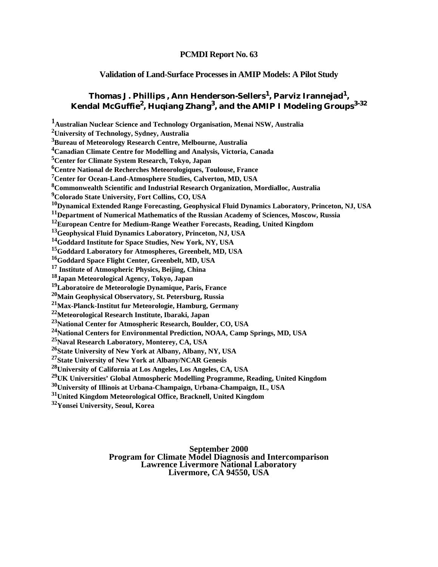# **PCMDI Report No. 63**

# **Validation of Land-Surface Processes in AMIP Models: A Pilot Study**

# **Thomas J. Phillips , Ann Henderson-Sellers1, Parviz Irannejad1, Kendal McGuffie2, Huqiang Zhang3, and the AMIP I Modeling Groups3-32**

**1Australian Nuclear Science and Technology Organisation, Menai NSW, Australia 2University of Technology, Sydney, Australia 3Bureau of Meteorology Research Centre, Melbourne, Australia 4Canadian Climate Centre for Modelling and Analysis, Victoria, Canada 5Center for Climate System Research, Tokyo, Japan 6Centre National de Recherches Meteorologiques, Toulouse, France 7Center for Ocean-Land-Atmosphere Studies, Calverton, MD, USA 8Commonwealth Scientific and Industrial Research Organization, Mordialloc, Australia 9Colorado State University, Fort Collins, CO, USA 10Dynamical Extended Range Forecasting, Geophysical Fluid Dynamics Laboratory, Princeton, NJ, USA 11Department of Numerical Mathematics of the Russian Academy of Sciences, Moscow, Russia 12European Centre for Medium-Range Weather Forecasts, Reading, United Kingdom 13Geophysical Fluid Dynamics Laboratory, Princeton, NJ, USA 14Goddard Institute for Space Studies, New York, NY, USA 15Goddard Laboratory for Atmospheres, Greenbelt, MD, USA 16Goddard Space Flight Center, Greenbelt, MD, USA 17 Institute of Atmospheric Physics, Beijing, China 18Japan Meteorological Agency, Tokyo, Japan 19Laboratoire de Meteorologie Dynamique, Paris, France 20Main Geophysical Observatory, St. Petersburg, Russia 21Max-Planck-Institut fur Meteorologie, Hamburg, Germany 22Meteorological Research Institute, Ibaraki, Japan 23National Center for Atmospheric Research, Boulder, CO, USA 24National Centers for Environmental Prediction, NOAA, Camp Springs, MD, USA 25Naval Research Laboratory, Monterey, CA, USA 26State University of New York at Albany, Albany, NY, USA 27State University of New York at Albany/NCAR Genesis 28University of California at Los Angeles, Los Angeles, CA, USA 29UK Universities' Global Atmospheric Modelling Programme, Reading, United Kingdom 30University of Illinois at Urbana-Champaign, Urbana-Champaign, IL, USA 31United Kingdom Meteorological Office, Bracknell, United Kingdom 32Yonsei University, Seoul, Korea**

#### **September 2000 Program for Climate Model Diagnosis and Intercomparison Lawrence Livermore National Laboratory Livermore, CA 94550, USA**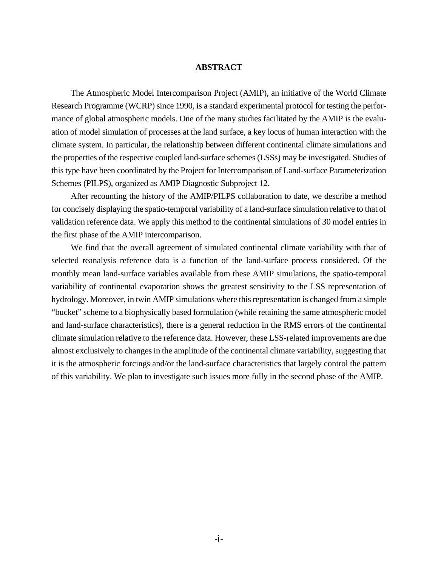#### **ABSTRACT**

The Atmospheric Model Intercomparison Project (AMIP), an initiative of the World Climate Research Programme (WCRP) since 1990, is a standard experimental protocol for testing the performance of global atmospheric models. One of the many studies facilitated by the AMIP is the evaluation of model simulation of processes at the land surface, a key locus of human interaction with the climate system. In particular, the relationship between different continental climate simulations and the properties of the respective coupled land-surface schemes (LSSs) may be investigated. Studies of this type have been coordinated by the Project for Intercomparison of Land-surface Parameterization Schemes (PILPS), organized as AMIP Diagnostic Subproject 12.

After recounting the history of the AMIP/PILPS collaboration to date, we describe a method for concisely displaying the spatio-temporal variability of a land-surface simulation relative to that of validation reference data. We apply this method to the continental simulations of 30 model entries in the first phase of the AMIP intercomparison.

We find that the overall agreement of simulated continental climate variability with that of selected reanalysis reference data is a function of the land-surface process considered. Of the monthly mean land-surface variables available from these AMIP simulations, the spatio-temporal variability of continental evaporation shows the greatest sensitivity to the LSS representation of hydrology. Moreover, in twin AMIP simulations where this representation is changed from a simple "bucket" scheme to a biophysically based formulation (while retaining the same atmospheric model and land-surface characteristics), there is a general reduction in the RMS errors of the continental climate simulation relative to the reference data. However, these LSS-related improvements are due almost exclusively to changes in the amplitude of the continental climate variability, suggesting that it is the atmospheric forcings and/or the land-surface characteristics that largely control the pattern of this variability. We plan to investigate such issues more fully in the second phase of the AMIP.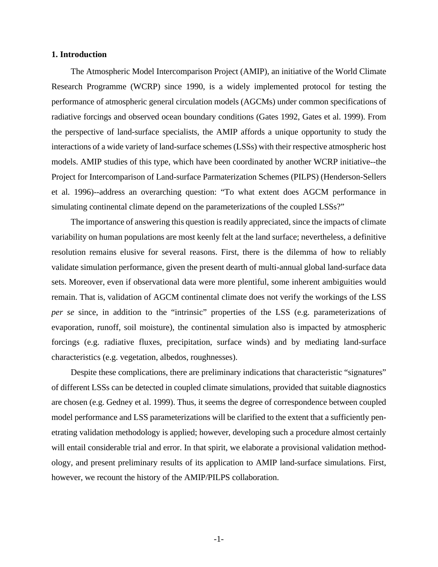# **1. Introduction**

The Atmospheric Model Intercomparison Project (AMIP), an initiative of the World Climate Research Programme (WCRP) since 1990, is a widely implemented protocol for testing the performance of atmospheric general circulation models (AGCMs) under common specifications of radiative forcings and observed ocean boundary conditions (Gates 1992, Gates et al. 1999). From the perspective of land-surface specialists, the AMIP affords a unique opportunity to study the interactions of a wide variety of land-surface schemes (LSSs) with their respective atmospheric host models. AMIP studies of this type, which have been coordinated by another WCRP initiative--the Project for Intercomparison of Land-surface Parmaterization Schemes (PILPS) (Henderson-Sellers et al. 1996)--address an overarching question: "To what extent does AGCM performance in simulating continental climate depend on the parameterizations of the coupled LSSs?"

The importance of answering this question is readily appreciated, since the impacts of climate variability on human populations are most keenly felt at the land surface; nevertheless, a definitive resolution remains elusive for several reasons. First, there is the dilemma of how to reliably validate simulation performance, given the present dearth of multi-annual global land-surface data sets. Moreover, even if observational data were more plentiful, some inherent ambiguities would remain. That is, validation of AGCM continental climate does not verify the workings of the LSS *per se* since, in addition to the "intrinsic" properties of the LSS (e.g. parameterizations of evaporation, runoff, soil moisture), the continental simulation also is impacted by atmospheric forcings (e.g. radiative fluxes, precipitation, surface winds) and by mediating land-surface characteristics (e.g. vegetation, albedos, roughnesses).

Despite these complications, there are preliminary indications that characteristic "signatures" of different LSSs can be detected in coupled climate simulations, provided that suitable diagnostics are chosen (e.g. Gedney et al. 1999). Thus, it seems the degree of correspondence between coupled model performance and LSS parameterizations will be clarified to the extent that a sufficiently penetrating validation methodology is applied; however, developing such a procedure almost certainly will entail considerable trial and error. In that spirit, we elaborate a provisional validation methodology, and present preliminary results of its application to AMIP land-surface simulations. First, however, we recount the history of the AMIP/PILPS collaboration.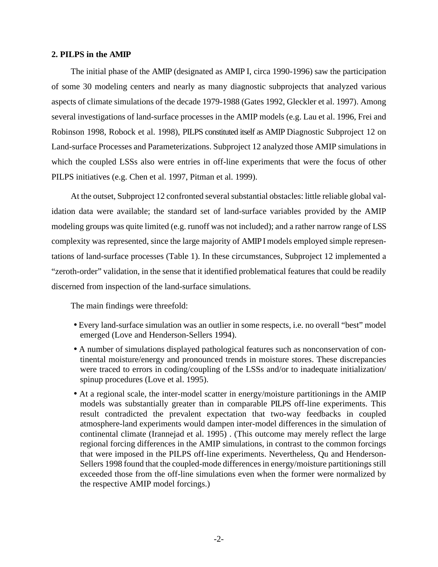#### **2. PILPS in the AMIP**

The initial phase of the AMIP (designated as AMIP I, circa 1990-1996) saw the participation of some 30 modeling centers and nearly as many diagnostic subprojects that analyzed various aspects of climate simulations of the decade 1979-1988 (Gates 1992, Gleckler et al. 1997). Among several investigations of land-surface processes in the AMIP models (e.g. Lau et al. 1996, Frei and Robinson 1998, Robock et al. 1998), PILPS constituted itself as AMIP Diagnostic Subproject 12 on Land-surface Processes and Parameterizations. Subproject 12 analyzed those AMIP simulations in which the coupled LSSs also were entries in off-line experiments that were the focus of other PILPS initiatives (e.g. Chen et al. 1997, Pitman et al. 1999).

At the outset, Subproject 12 confronted several substantial obstacles: little reliable global validation data were available; the standard set of land-surface variables provided by the AMIP modeling groups was quite limited (e.g. runoff was not included); and a rather narrow range of LSS complexity was represented, since the large majority of AMIPI models employed simple representations of land-surface processes (Table 1). In these circumstances, Subproject 12 implemented a "zeroth-order" validation, in the sense that it identified problematical features that could be readily discerned from inspection of the land-surface simulations.

The main findings were threefold:

- Every land-surface simulation was an outlier in some respects, i.e. no overall "best" model emerged (Love and Henderson-Sellers 1994).
- A number of simulations displayed pathological features such as nonconservation of continental moisture/energy and pronounced trends in moisture stores. These discrepancies were traced to errors in coding/coupling of the LSSs and/or to inadequate initialization/ spinup procedures (Love et al. 1995).
- At a regional scale, the inter-model scatter in energy/moisture partitionings in the AMIP models was substantially greater than in comparable PILPS off-line experiments. This result contradicted the prevalent expectation that two-way feedbacks in coupled atmosphere-land experiments would dampen inter-model differences in the simulation of continental climate (Irannejad et al. 1995) . (This outcome may merely reflect the large regional forcing differences in the AMIP simulations, in contrast to the common forcings that were imposed in the PILPS off-line experiments. Nevertheless, Qu and Henderson-Sellers 1998 found that the coupled-mode differences in energy/moisture partitionings still exceeded those from the off-line simulations even when the former were normalized by the respective AMIP model forcings.)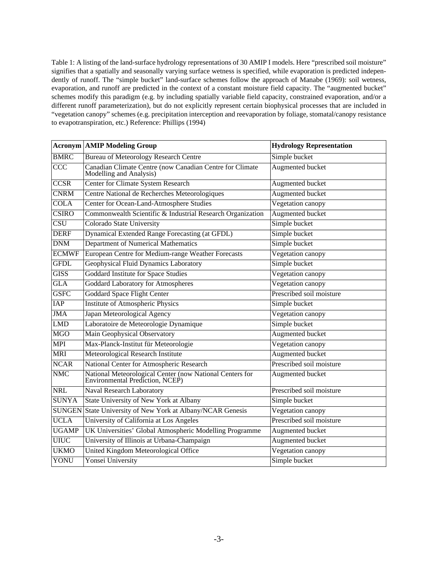Table 1: A listing of the land-surface hydrology representations of 30 AMIP I models. Here "prescribed soil moisture" signifies that a spatially and seasonally varying surface wetness is specified, while evaporation is predicted independently of runoff. The "simple bucket" land-surface schemes follow the approach of Manabe (1969): soil wetness, evaporation, and runoff are predicted in the context of a constant moisture field capacity. The "augmented bucket" schemes modify this paradigm (e.g. by including spatially variable field capacity, constrained evaporation, and/or a different runoff parameterization), but do not explicitly represent certain biophysical processes that are included in "vegetation canopy" schemes (e.g. precipitation interception and reevaporation by foliage, stomatal/canopy resistance to evapotranspiration, etc.) Reference: Phillips (1994)

|                          | <b>Acronym   AMIP Modeling Group</b>                                                        | <b>Hydrology Representation</b> |
|--------------------------|---------------------------------------------------------------------------------------------|---------------------------------|
| <b>BMRC</b>              | <b>Bureau of Meteorology Research Centre</b>                                                | Simple bucket                   |
| $\overline{CCC}$         | Canadian Climate Centre (now Canadian Centre for Climate<br>Modelling and Analysis)         | Augmented bucket                |
| $\overline{CCSR}$        | <b>Center for Climate System Research</b>                                                   | Augmented bucket                |
| <b>CNRM</b>              | Centre National de Recherches Meteorologiques                                               | Augmented bucket                |
| <b>COLA</b>              | Center for Ocean-Land-Atmosphere Studies                                                    | Vegetation canopy               |
| <b>CSIRO</b>             | Commonwealth Scientific & Industrial Research Organization                                  | <b>Augmented bucket</b>         |
| $\overline{\text{CSU}}$  | Colorado State University                                                                   | Simple bucket                   |
| <b>DERF</b>              | <b>Dynamical Extended Range Forecasting (at GFDL)</b>                                       | Simple bucket                   |
| <b>DNM</b>               | <b>Department of Numerical Mathematics</b>                                                  | Simple bucket                   |
| <b>ECMWF</b>             | European Centre for Medium-range Weather Forecasts                                          | Vegetation canopy               |
| <b>GFDL</b>              | <b>Geophysical Fluid Dynamics Laboratory</b>                                                | Simple bucket                   |
| <b>GISS</b>              | <b>Goddard Institute for Space Studies</b>                                                  | Vegetation canopy               |
| GLA                      | <b>Goddard Laboratory for Atmospheres</b>                                                   | Vegetation canopy               |
| <b>GSFC</b>              | <b>Goddard Space Flight Center</b>                                                          | Prescribed soil moisture        |
| <b>IAP</b>               | <b>Institute of Atmospheric Physics</b>                                                     | Simple bucket                   |
| <b>JMA</b>               | Japan Meteorological Agency                                                                 | Vegetation canopy               |
| LMD                      | Laboratoire de Meteorologie Dynamique                                                       | Simple bucket                   |
| <b>MGO</b>               | <b>Main Geophysical Observatory</b>                                                         | <b>Augmented bucket</b>         |
| <b>MPI</b>               | Max-Planck-Institut für Meteorologie                                                        | Vegetation canopy               |
| <b>MRI</b>               | <b>Meteorological Research Institute</b>                                                    | <b>Augmented bucket</b>         |
| $\overline{\text{NCAR}}$ | National Center for Atmospheric Research                                                    | Prescribed soil moisture        |
| $\overline{\text{NMC}}$  | National Meteorological Center (now National Centers for<br>Environmental Prediction, NCEP) | Augmented bucket                |
| <b>NRL</b>               | <b>Naval Research Laboratory</b>                                                            | Prescribed soil moisture        |
| <b>SUNYA</b>             | <b>State University of New York at Albany</b>                                               | Simple bucket                   |
|                          | SUNGEN State University of New York at Albany/NCAR Genesis                                  | Vegetation canopy               |
| <b>UCLA</b>              | University of California at Los Angeles                                                     | Prescribed soil moisture        |
| <b>UGAMP</b>             | UK Universities' Global Atmospheric Modelling Programme                                     | <b>Augmented bucket</b>         |
| <b>UIUC</b>              | University of Illinois at Urbana-Champaign                                                  | Augmented bucket                |
| <b>UKMO</b>              | <b>United Kingdom Meteorological Office</b>                                                 | Vegetation canopy               |
| <b>YONU</b>              | <b>Yonsei University</b>                                                                    | Simple bucket                   |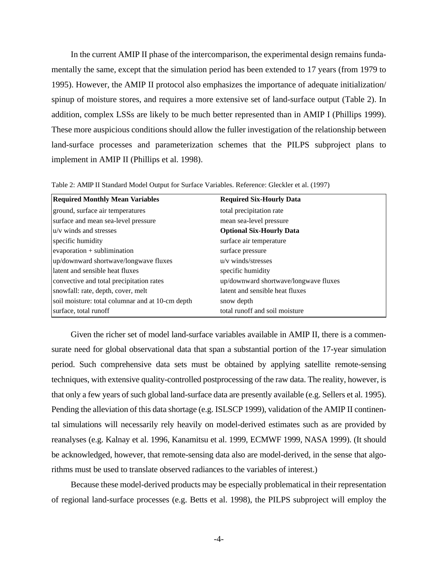In the current AMIP II phase of the intercomparison, the experimental design remains fundamentally the same, except that the simulation period has been extended to 17 years (from 1979 to 1995). However, the AMIP II protocol also emphasizes the importance of adequate initialization/ spinup of moisture stores, and requires a more extensive set of land-surface output (Table 2). In addition, complex LSSs are likely to be much better represented than in AMIP I (Phillips 1999). These more auspicious conditions should allow the fuller investigation of the relationship between land-surface processes and parameterization schemes that the PILPS subproject plans to implement in AMIP II (Phillips et al. 1998).

| <b>Required Monthly Mean Variables</b>           | <b>Required Six-Hourly Data</b>       |
|--------------------------------------------------|---------------------------------------|
| ground, surface air temperatures                 | total precipitation rate              |
| surface and mean sea-level pressure              | mean sea-level pressure               |
| $ u/v$ winds and stresses                        | <b>Optional Six-Hourly Data</b>       |
| specific humidity                                | surface air temperature               |
| $ evaporation + sublimination$                   | surface pressure                      |
| up/downward shortwave/longwave fluxes            | $u/v$ winds/stresses                  |
| llatent and sensible heat fluxes                 | specific humidity                     |
| convective and total precipitation rates         | up/downward shortwave/longwave fluxes |
| snowfall: rate, depth, cover, melt               | latent and sensible heat fluxes       |
| soil moisture: total columnar and at 10-cm depth | snow depth                            |
| surface, total runoff                            | total runoff and soil moisture        |

Table 2: AMIP II Standard Model Output for Surface Variables. Reference: Gleckler et al. (1997)

Given the richer set of model land-surface variables available in AMIP II, there is a commensurate need for global observational data that span a substantial portion of the 17-year simulation period. Such comprehensive data sets must be obtained by applying satellite remote-sensing techniques, with extensive quality-controlled postprocessing of the raw data. The reality, however, is that only a few years of such global land-surface data are presently available (e.g. Sellers et al. 1995). Pending the alleviation of this data shortage (e.g. ISLSCP 1999), validation of the AMIP II continental simulations will necessarily rely heavily on model-derived estimates such as are provided by reanalyses (e.g. Kalnay et al. 1996, Kanamitsu et al. 1999, ECMWF 1999, NASA 1999). (It should be acknowledged, however, that remote-sensing data also are model-derived, in the sense that algorithms must be used to translate observed radiances to the variables of interest.)

Because these model-derived products may be especially problematical in their representation of regional land-surface processes (e.g. Betts et al. 1998), the PILPS subproject will employ the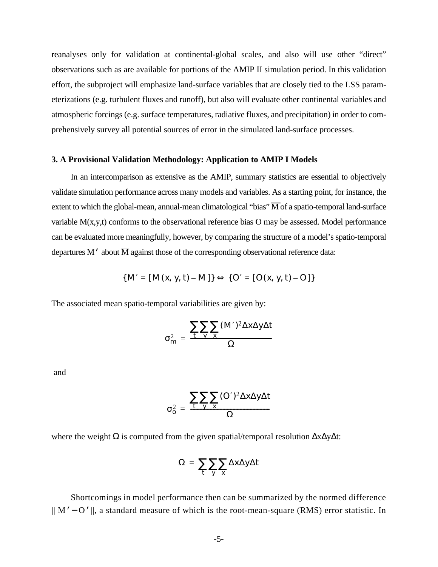reanalyses only for validation at continental-global scales, and also will use other "direct" observations such as are available for portions of the AMIP II simulation period. In this validation effort, the subproject will emphasize land-surface variables that are closely tied to the LSS parameterizations (e.g. turbulent fluxes and runoff), but also will evaluate other continental variables and atmospheric forcings (e.g. surface temperatures, radiative fluxes, and precipitation) in order to comprehensively survey all potential sources of error in the simulated land-surface processes.

#### **3. A Provisional Validation Methodology: Application to AMIP I Models**

In an intercomparison as extensive as the AMIP, summary statistics are essential to objectively validate simulation performance across many models and variables. As a starting point, for instance, the extent to which the global-mean, annual-mean climatological "bias"  $\overline{M}$  of a spatio-temporal land-surface variable M(x,y,t) conforms to the observational reference bias  $\overline{O}$  may be assessed. Model performance can be evaluated more meaningfully, however, by comparing the structure of a model's spatio-temporal departures M' about  $\overline{M}$  against those of the corresponding observational reference data:

$$
\{M'=[M(x, y, t)-M]\}\Leftrightarrow\{O'=[O(x, y, t)-O]\}
$$

The associated mean spatio-temporal variabilities are given by:

$$
\sigma_m^2 = \frac{\sum_{t} \sum_{y} \sum_{x} (M')^2 \Delta x \Delta y \Delta t}{\Omega}
$$

and

$$
\sigma_o^2 = \frac{\sum_{t} \sum_{y} (\mathcal{O}')^2 \Delta x \Delta y \Delta t}{\Omega}
$$

where the weight  $\Omega$  is computed from the given spatial/temporal resolution  $\Delta x \Delta y \Delta t$ :

$$
\Omega = \sum_{t} \sum_{y} \sum_{x} \Delta x \Delta y \Delta t
$$

Shortcomings in model performance then can be summarized by the normed difference || M'− O'||, a standard measure of which is the root-mean-square (RMS) error statistic. In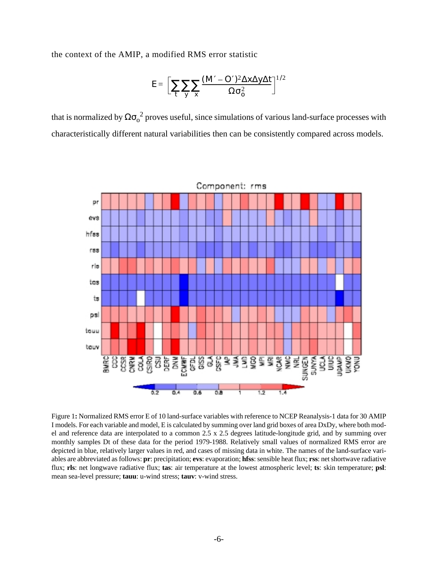the context of the AMIP, a modified RMS error statistic

$$
E = \left[ \sum_{t} \sum_{y} \sum_{x} \frac{(M - O')^2 \Delta x \Delta y \Delta t}{\Omega \sigma_o^2} \right]^{1/2}
$$

that is normalized by  $\Omega \sigma_0^2$  proves useful, since simulations of various land-surface processes with characteristically different natural variabilities then can be consistently compared across models.



Figure 1**:** Normalized RMS error E of 10 land-surface variables with reference to NCEP Reanalysis-1 data for 30 AMIP I models. For each variable and model, E is calculated by summing over land grid boxes of area DxDy, where both model and reference data are interpolated to a common 2.5 x 2.5 degrees latitude-longitude grid, and by summing over monthly samples Dt of these data for the period 1979-1988. Relatively small values of normalized RMS error are depicted in blue, relatively larger values in red, and cases of missing data in white. The names of the land-surface variables are abbreviated as follows: **pr**: precipitation; **evs**: evaporation; **hfss**: sensible heat flux; **rss**: net shortwave radiative flux; **rls**: net longwave radiative flux; **tas**: air temperature at the lowest atmospheric level; **ts**: skin temperature; **psl**: mean sea-level pressure; **tauu**: u-wind stress; **tauv**: v-wind stress.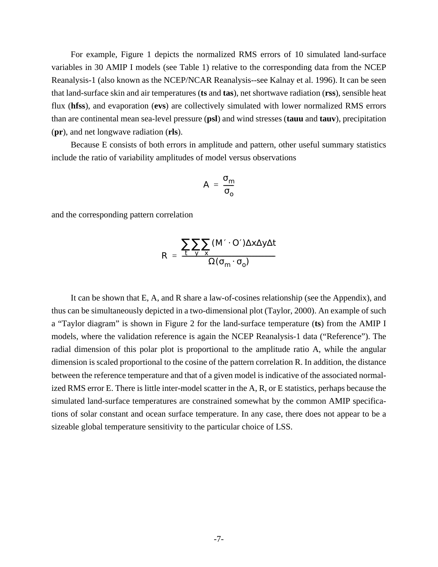For example, Figure 1 depicts the normalized RMS errors of 10 simulated land-surface variables in 30 AMIP I models (see Table 1) relative to the corresponding data from the NCEP Reanalysis-1 (also known as the NCEP/NCAR Reanalysis--see Kalnay et al. 1996). It can be seen that land-surface skin and air temperatures (**ts** and **tas**), net shortwave radiation (**rss**), sensible heat flux (**hfss**), and evaporation (**evs**) are collectively simulated with lower normalized RMS errors than are continental mean sea-level pressure (**psl**) and wind stresses (**tauu** and **tauv**), precipitation (**pr**), and net longwave radiation (**rls**).

Because E consists of both errors in amplitude and pattern, other useful summary statistics include the ratio of variability amplitudes of model versus observations

$$
A = \frac{\sigma_m}{\sigma_o}
$$

and the corresponding pattern correlation

$$
R = \frac{\sum_{t} \sum_{y} \sum_{x} (M' \cdot O') \Delta x \Delta y \Delta t}{\Omega(\sigma_m \cdot \sigma_o)}
$$

It can be shown that E, A, and R share a law-of-cosines relationship (see the Appendix), and thus can be simultaneously depicted in a two-dimensional plot (Taylor, 2000). An example of such a "Taylor diagram" is shown in Figure 2 for the land-surface temperature (**ts**) from the AMIP I models, where the validation reference is again the NCEP Reanalysis-1 data ("Reference"). The radial dimension of this polar plot is proportional to the amplitude ratio A, while the angular dimension is scaled proportional to the cosine of the pattern correlation R. In addition, the distance between the reference temperature and that of a given model is indicative of the associated normalized RMS error E. There is little inter-model scatter in the A, R, or E statistics, perhaps because the simulated land-surface temperatures are constrained somewhat by the common AMIP specifications of solar constant and ocean surface temperature. In any case, there does not appear to be a sizeable global temperature sensitivity to the particular choice of LSS.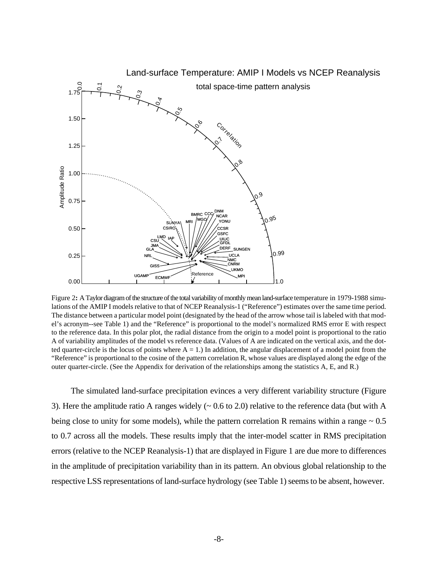

Figure 2**:** A Taylor diagram of the structure of the total variability of monthly mean land-surface temperature in 1979-1988 simulations of the AMIP I models relative to that of NCEP Reanalysis-1 ("Reference") estimates over the same time period. The distance between a particular model point (designated by the head of the arrow whose tail is labeled with that model's acronym--see Table 1) and the "Reference" is proportional to the model's normalized RMS error E with respect to the reference data. In this polar plot, the radial distance from the origin to a model point is proportional to the ratio A of variability amplitudes of the model vs reference data. (Values of A are indicated on the vertical axis, and the dotted quarter-circle is the locus of points where  $A = 1$ .) In addition, the angular displacement of a model point from the "Reference" is proportional to the cosine of the pattern correlation R, whose values are displayed along the edge of the outer quarter-circle. (See the Appendix for derivation of the relationships among the statistics A, E, and R.)

The simulated land-surface precipitation evinces a very different variability structure (Figure 3). Here the amplitude ratio A ranges widely  $({\sim} 0.6 \text{ to } 2.0)$  relative to the reference data (but with A being close to unity for some models), while the pattern correlation R remains within a range  $\sim 0.5$ to 0.7 across all the models. These results imply that the inter-model scatter in RMS precipitation errors (relative to the NCEP Reanalysis-1) that are displayed in Figure 1 are due more to differences in the amplitude of precipitation variability than in its pattern. An obvious global relationship to the respective LSS representations of land-surface hydrology (see Table 1) seems to be absent, however.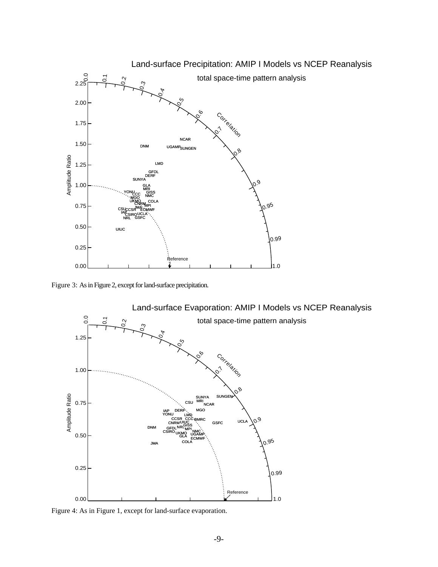

Figure 3: As in Figure 2, except for land-surface precipitation.



Figure 4: As in Figure 1, except for land-surface evaporation.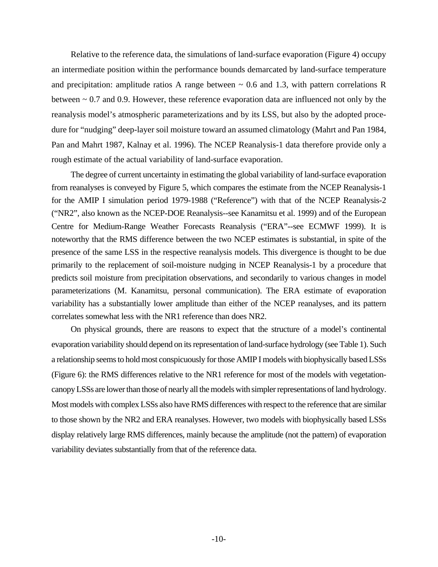Relative to the reference data, the simulations of land-surface evaporation (Figure 4) occupy an intermediate position within the performance bounds demarcated by land-surface temperature and precipitation: amplitude ratios A range between  $\sim 0.6$  and 1.3, with pattern correlations R between ~ 0.7 and 0.9. However, these reference evaporation data are influenced not only by the reanalysis model's atmospheric parameterizations and by its LSS, but also by the adopted procedure for "nudging" deep-layer soil moisture toward an assumed climatology (Mahrt and Pan 1984, Pan and Mahrt 1987, Kalnay et al. 1996). The NCEP Reanalysis-1 data therefore provide only a rough estimate of the actual variability of land-surface evaporation.

The degree of current uncertainty in estimating the global variability of land-surface evaporation from reanalyses is conveyed by Figure 5, which compares the estimate from the NCEP Reanalysis-1 for the AMIP I simulation period 1979-1988 ("Reference") with that of the NCEP Reanalysis-2 ("NR2", also known as the NCEP-DOE Reanalysis--see Kanamitsu et al. 1999) and of the European Centre for Medium-Range Weather Forecasts Reanalysis ("ERA"--see ECMWF 1999). It is noteworthy that the RMS difference between the two NCEP estimates is substantial, in spite of the presence of the same LSS in the respective reanalysis models. This divergence is thought to be due primarily to the replacement of soil-moisture nudging in NCEP Reanalysis-1 by a procedure that predicts soil moisture from precipitation observations, and secondarily to various changes in model parameterizations (M. Kanamitsu, personal communication). The ERA estimate of evaporation variability has a substantially lower amplitude than either of the NCEP reanalyses, and its pattern correlates somewhat less with the NR1 reference than does NR2.

On physical grounds, there are reasons to expect that the structure of a model's continental evaporation variability should depend on its representation of land-surface hydrology (see Table 1). Such a relationship seems to hold most conspicuously for those AMIP I models with biophysically based LSSs (Figure 6): the RMS differences relative to the NR1 reference for most of the models with vegetationcanopy LSSs are lower than those of nearly all the models with simpler representations of land hydrology. Most models with complex LSSs also have RMS differences with respect to the reference that are similar to those shown by the NR2 and ERA reanalyses. However, two models with biophysically based LSSs display relatively large RMS differences, mainly because the amplitude (not the pattern) of evaporation variability deviates substantially from that of the reference data.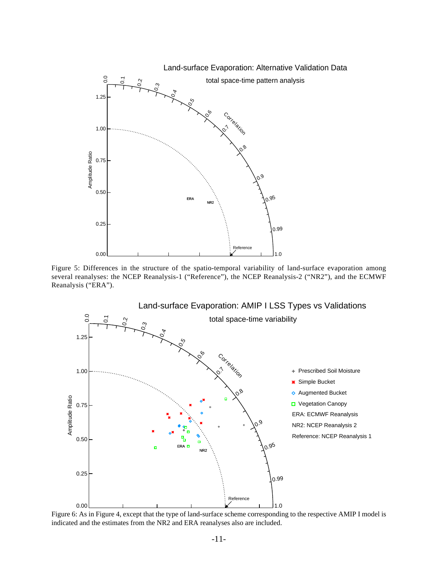

Figure 5: Differences in the structure of the spatio-temporal variability of land-surface evaporation among several reanalyses: the NCEP Reanalysis-1 ("Reference"), the NCEP Reanalysis-2 ("NR2"), and the ECMWF Reanalysis ("ERA").



Figure 6: As in Figure 4, except that the type of land-surface scheme corresponding to the respective AMIP I model is indicated and the estimates from the NR2 and ERA reanalyses also are included.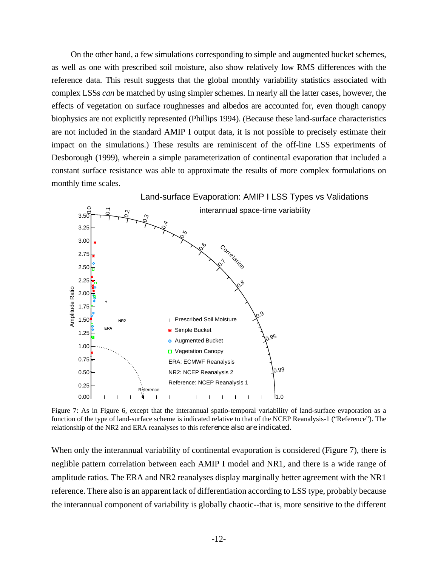On the other hand, a few simulations corresponding to simple and augmented bucket schemes, as well as one with prescribed soil moisture, also show relatively low RMS differences with the reference data. This result suggests that the global monthly variability statistics associated with complex LSSs *can* be matched by using simpler schemes. In nearly all the latter cases, however, the effects of vegetation on surface roughnesses and albedos are accounted for, even though canopy biophysics are not explicitly represented (Phillips 1994). (Because these land-surface characteristics are not included in the standard AMIP I output data, it is not possible to precisely estimate their impact on the simulations.) These results are reminiscent of the off-line LSS experiments of Desborough (1999), wherein a simple parameterization of continental evaporation that included a constant surface resistance was able to approximate the results of more complex formulations on monthly time scales.



Figure 7: As in Figure 6, except that the interannual spatio-temporal variability of land-surface evaporation as a function of the type of land-surface scheme is indicated relative to that of the NCEP Reanalysis-1 ("Reference"). The relationship of the NR2 and ERA reanalyses to this reference also are indicated.

When only the interannual variability of continental evaporation is considered (Figure 7), there is neglible pattern correlation between each AMIP I model and NR1, and there is a wide range of amplitude ratios. The ERA and NR2 reanalyses display marginally better agreement with the NR1 reference. There also is an apparent lack of differentiation according to LSS type, probably because the interannual component of variability is globally chaotic--that is, more sensitive to the different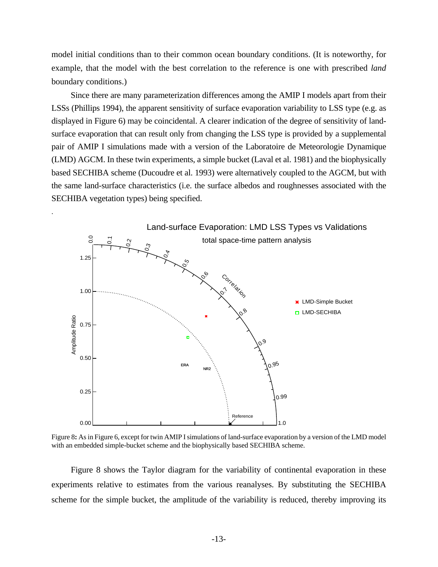model initial conditions than to their common ocean boundary conditions. (It is noteworthy, for example, that the model with the best correlation to the reference is one with prescribed *land* boundary conditions.)

Since there are many parameterization differences among the AMIP I models apart from their LSSs (Phillips 1994), the apparent sensitivity of surface evaporation variability to LSS type (e.g. as displayed in Figure 6) may be coincidental. A clearer indication of the degree of sensitivity of landsurface evaporation that can result only from changing the LSS type is provided by a supplemental pair of AMIP I simulations made with a version of the Laboratoire de Meteorologie Dynamique (LMD) AGCM. In these twin experiments, a simple bucket (Laval et al. 1981) and the biophysically based SECHIBA scheme (Ducoudre et al. 1993) were alternatively coupled to the AGCM, but with the same land-surface characteristics (i.e. the surface albedos and roughnesses associated with the SECHIBA vegetation types) being specified.

.



Figure 8**:** As in Figure 6, except for twin AMIP I simulations of land-surface evaporation by a version of the LMD model with an embedded simple-bucket scheme and the biophysically based SECHIBA scheme.

Figure 8 shows the Taylor diagram for the variability of continental evaporation in these experiments relative to estimates from the various reanalyses. By substituting the SECHIBA scheme for the simple bucket, the amplitude of the variability is reduced, thereby improving its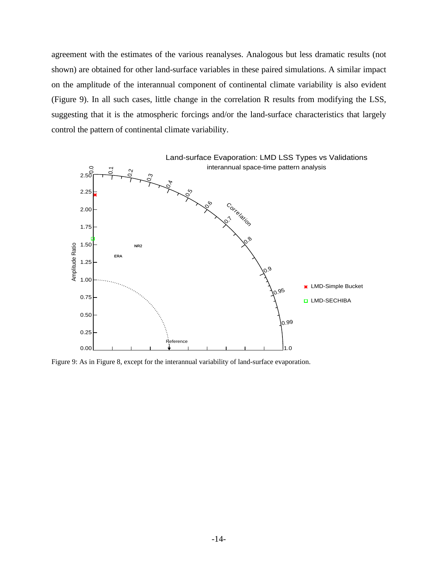agreement with the estimates of the various reanalyses. Analogous but less dramatic results (not shown) are obtained for other land-surface variables in these paired simulations. A similar impact on the amplitude of the interannual component of continental climate variability is also evident (Figure 9). In all such cases, little change in the correlation R results from modifying the LSS, suggesting that it is the atmospheric forcings and/or the land-surface characteristics that largely control the pattern of continental climate variability.



Figure 9: As in Figure 8, except for the interannual variability of land-surface evaporation.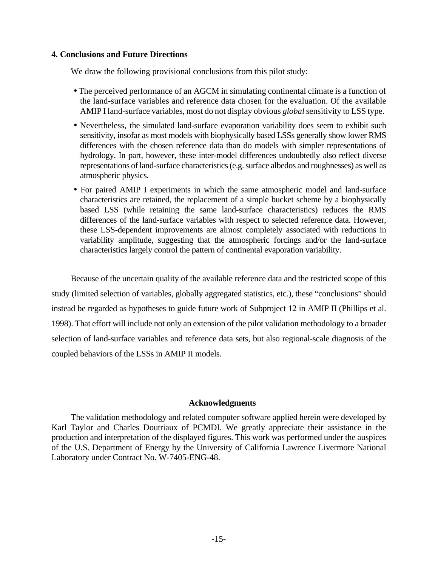# **4. Conclusions and Future Directions**

We draw the following provisional conclusions from this pilot study:

- The perceived performance of an AGCM in simulating continental climate is a function of the land-surface variables and reference data chosen for the evaluation. Of the available AMIP I land-surface variables, most do not display obvious *global*sensitivity to LSS type.
- Nevertheless, the simulated land-surface evaporation variability does seem to exhibit such sensitivity, insofar as most models with biophysically based LSSs generally show lower RMS differences with the chosen reference data than do models with simpler representations of hydrology. In part, however, these inter-model differences undoubtedly also reflect diverse representations of land-surface characteristics (e.g. surface albedos and roughnesses) as well as atmospheric physics.
- For paired AMIP I experiments in which the same atmospheric model and land-surface characteristics are retained, the replacement of a simple bucket scheme by a biophysically based LSS (while retaining the same land-surface characteristics) reduces the RMS differences of the land-surface variables with respect to selected reference data. However, these LSS-dependent improvements are almost completely associated with reductions in variability amplitude, suggesting that the atmospheric forcings and/or the land-surface characteristics largely control the pattern of continental evaporation variability.

Because of the uncertain quality of the available reference data and the restricted scope of this study (limited selection of variables, globally aggregated statistics, etc.), these "conclusions" should instead be regarded as hypotheses to guide future work of Subproject 12 in AMIP II (Phillips et al. 1998). That effort will include not only an extension of the pilot validation methodology to a broader selection of land-surface variables and reference data sets, but also regional-scale diagnosis of the coupled behaviors of the LSSs in AMIP II models.

# **Acknowledgments**

The validation methodology and related computer software applied herein were developed by Karl Taylor and Charles Doutriaux of PCMDI. We greatly appreciate their assistance in the production and interpretation of the displayed figures. This work was performed under the auspices of the U.S. Department of Energy by the University of California Lawrence Livermore National Laboratory under Contract No. W-7405-ENG-48.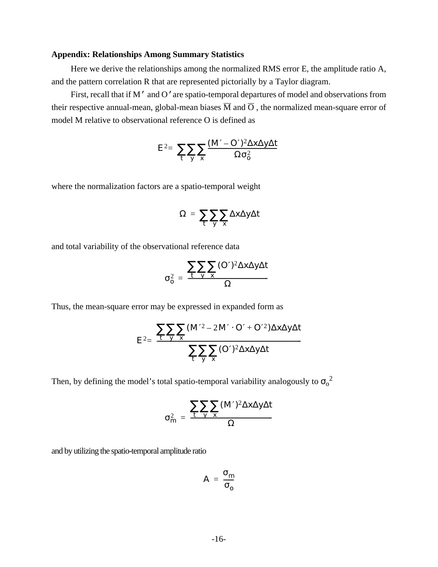### **Appendix: Relationships Among Summary Statistics**

Here we derive the relationships among the normalized RMS error E, the amplitude ratio A, and the pattern correlation R that are represented pictorially by a Taylor diagram.

First, recall that if M' and O'are spatio-temporal departures of model and observations from their respective annual-mean, global-mean biases  $\overline{M}$  and  $\overline{O}$ , the normalized mean-square error of model M relative to observational reference O is defined as

$$
E^2 = \sum_{t} \sum_{y} \sum_{x} \frac{(M - O')^2 \Delta x \Delta y \Delta t}{\Omega \sigma_o^2}
$$

where the normalization factors are a spatio-temporal weight

$$
\Omega = \sum_{t} \sum_{y} \sum_{x} \Delta x \Delta y \Delta t
$$

and total variability of the observational reference data

$$
\sigma_o^2 = \frac{\sum_{t} \sum_{y} \sum_{x} (\mathcal{O}')^2 \Delta x \Delta y \Delta t}{\Omega}
$$

Thus, the mean-square error may be expressed in expanded form as

$$
E^{2} = \frac{\sum_{t} \sum_{y} \sum_{x} (M^{2} - 2M^{t} \cdot O^{t} + O^{t} \cdot 2) \Delta x \Delta y \Delta t}{\sum_{t} \sum_{y} \sum_{x} (O^{t})^{2} \Delta x \Delta y \Delta t}
$$

Then, by defining the model's total spatio-temporal variability analogously to  $\sigma_0^2$ 

$$
\sigma_m^2 = \frac{\sum_{t} \sum_{y} \sum_{x} (M')^2 \Delta x \Delta y \Delta t}{\Omega}
$$

and by utilizing the spatio-temporal amplitude ratio

$$
A = \frac{\sigma_m}{\sigma_o}
$$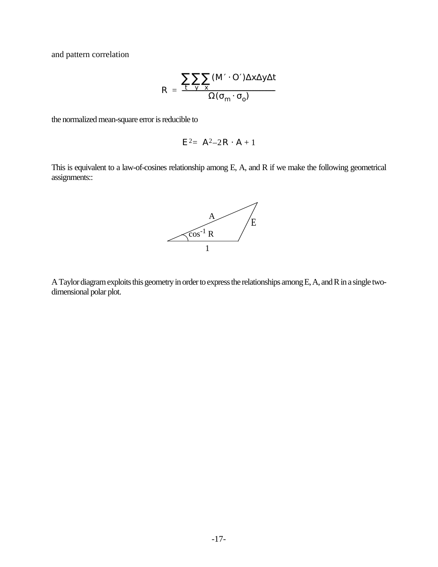and pattern correlation

$$
R = \frac{\sum_{t} \sum_{y} \sum_{x} (M' \cdot O') \Delta x \Delta y \Delta t}{\Omega(\sigma_m \cdot \sigma_o)}
$$

the normalized mean-square error is reducible to

$$
E^2 = A^2 - 2R \cdot A + 1
$$

This is equivalent to a law-of-cosines relationship among E, A, and R if we make the following geometrical assignments::



A Taylor diagram exploits this geometry in order to express the relationships among E, A, and R in a single twodimensional polar plot.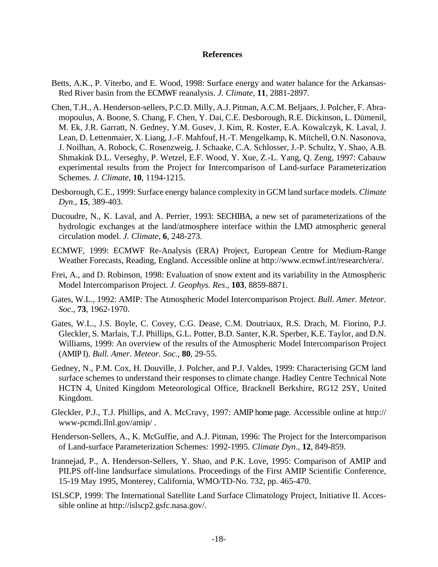#### **References**

- Betts, A.K., P. Viterbo, and E. Wood, 1998: Surface energy and water balance for the Arkansas-Red River basin from the ECMWF reanalysis. *J. Climate*, **11**, 2881-2897.
- Chen, T.H., A. Henderson-sellers, P.C.D. Milly, A.J. Pitman, A.C.M. Beljaars, J. Polcher, F. Abramopoulus, A. Boone, S. Chang, F. Chen, Y. Dai, C.E. Desborough, R.E. Dickinson, L. Dümenil, M. Ek, J.R. Garratt, N. Gedney, Y.M. Gusev, J. Kim, R. Koster, E.A. Kowalczyk, K. Laval, J. Lean, D. Lettenmaier, X. Liang, J.-F. Mahfouf, H.-T. Mengelkamp, K. Mitchell, O.N. Nasonova, J. Noilhan, A. Robock, C. Rosenzweig, J. Schaake, C.A. Schlosser, J.-P. Schultz, Y. Shao, A.B. Shmakink D.L. Verseghy, P. Wetzel, E.F. Wood, Y. Xue, Z.-L. Yang, Q. Zeng, 1997: Cabauw experimental results from the Project for Intercomparison of Land-surface Parameterization Schemes. *J. Climate*, **10**, 1194-1215.
- Desborough, C.E., 1999: Surface energy balance complexity in GCM land surface models. *Climate Dyn*., **15**, 389-403.
- Ducoudre, N., K. Laval, and A. Perrier, 1993: SECHIBA, a new set of parameterizations of the hydrologic exchanges at the land/atmosphere interface within the LMD atmospheric general circulation model. *J. Climate*, **6**, 248-273.
- ECMWF, 1999: ECMWF Re-Analysis (ERA) Project, European Centre for Medium-Range Weather Forecasts, Reading, England. Accessible online at http://www.ecmwf.int/research/era/.
- Frei, A., and D. Robinson, 1998: Evaluation of snow extent and its variability in the Atmospheric Model Intercomparison Project. *J. Geophys. Res*., **103**, 8859-8871.
- Gates, W.L., 1992: AMIP: The Atmospheric Model Intercomparison Project. *Bull. Amer. Meteor. Soc*., **73**, 1962-1970.
- Gates, W.L., J.S. Boyle, C. Covey, C.G. Dease, C.M. Doutriaux, R.S. Drach, M. Fiorino, P.J. Gleckler, S. Marlais, T.J. Phillips, G.L. Potter, B.D. Santer, K.R. Sperber, K.E. Taylor, and D.N. Williams, 1999: An overview of the results of the Atmospheric Model Intercomparison Project (AMIP I). *Bull. Amer. Meteor. Soc.*, **80**, 29-55.
- Gedney, N., P.M. Cox, H. Douville, J. Polcher, and P.J. Valdes, 1999: Characterising GCM land surface schemes to understand their responses to climate change. Hadley Centre Technical Note HCTN 4, United Kingdom Meteorological Office, Bracknell Berkshire, RG12 2SY, United Kingdom.
- Gleckler, P.J., T.J. Phillips, and A. McCravy, 1997: AMIP home page. Accessible online at http:// www-pcmdi.llnl.gov/amip/ .
- Henderson-Sellers, A., K. McGuffie, and A.J. Pitman, 1996: The Project for the Intercomparison of Land-surface Parameterization Schemes: 1992-1995. *Climate Dyn*., **12**, 849-859.
- Irannejad, P., A. Henderson-Sellers, Y. Shao, and P.K. Love, 1995: Comparison of AMIP and PILPS off-line landsurface simulations. Proceedings of the First AMIP Scientific Conference, 15-19 May 1995, Monterey, California, WMO/TD-No. 732, pp. 465-470.
- ISLSCP, 1999: The International Satellite Land Surface Climatology Project, Initiative II. Accessible online at http://islscp2.gsfc.nasa.gov/.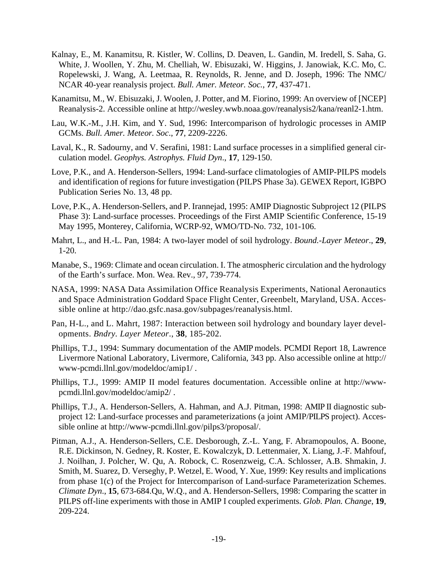- Kalnay, E., M. Kanamitsu, R. Kistler, W. Collins, D. Deaven, L. Gandin, M. Iredell, S. Saha, G. White, J. Woollen, Y. Zhu, M. Chelliah, W. Ebisuzaki, W. Higgins, J. Janowiak, K.C. Mo, C. Ropelewski, J. Wang, A. Leetmaa, R. Reynolds, R. Jenne, and D. Joseph, 1996: The NMC/ NCAR 40-year reanalysis project. *Bull. Amer. Meteor. Soc.*, **77**, 437-471.
- Kanamitsu, M., W. Ebisuzaki, J. Woolen, J. Potter, and M. Fiorino, 1999: An overview of [NCEP] Reanalysis-2. Accessible online at http://wesley.wwb.noaa.gov/reanalysis2/kana/reanl2-1.htm.
- Lau, W.K.-M., J.H. Kim, and Y. Sud, 1996: Intercomparison of hydrologic processes in AMIP GCMs. *Bull. Amer. Meteor. Soc*., **77**, 2209-2226.
- Laval, K., R. Sadourny, and V. Serafini, 1981: Land surface processes in a simplified general circulation model. *Geophys. Astrophys. Fluid Dyn*., **17**, 129-150.
- Love, P.K., and A. Henderson-Sellers, 1994: Land-surface climatologies of AMIP-PILPS models and identification of regions for future investigation (PILPS Phase 3a). GEWEX Report, IGBPO Publication Series No. 13, 48 pp.
- Love, P.K., A. Henderson-Sellers, and P. Irannejad, 1995: AMIP Diagnostic Subproject 12 (PILPS Phase 3): Land-surface processes. Proceedings of the First AMIP Scientific Conference, 15-19 May 1995, Monterey, California, WCRP-92, WMO/TD-No. 732, 101-106.
- Mahrt, L., and H.-L. Pan, 1984: A two-layer model of soil hydrology. *Bound.-Layer Meteor*., **29**, 1-20.
- Manabe, S., 1969: Climate and ocean circulation. I. The atmospheric circulation and the hydrology of the Earth's surface. Mon. Wea. Rev., 97, 739-774.
- NASA, 1999: NASA Data Assimilation Office Reanalysis Experiments, National Aeronautics and Space Administration Goddard Space Flight Center, Greenbelt, Maryland, USA. Accessible online at http://dao.gsfc.nasa.gov/subpages/reanalysis.html.
- Pan, H-L., and L. Mahrt, 1987: Interaction between soil hydrology and boundary layer developments. *Bndry. Layer Meteor*., **38**, 185-202.
- Phillips, T.J., 1994: Summary documentation of the AMIP models. PCMDI Report 18, Lawrence Livermore National Laboratory, Livermore, California, 343 pp. Also accessible online at http:// www-pcmdi.llnl.gov/modeldoc/amip1/ .
- Phillips, T.J., 1999: AMIP II model features documentation. Accessible online at http://wwwpcmdi.llnl.gov/modeldoc/amip2/ .
- Phillips, T.J., A. Henderson-Sellers, A. Hahman, and A.J. Pitman, 1998: AMIP II diagnostic subproject 12: Land-surface processes and parameterizations (a joint AMIP/PILPS project). Accessible online at http://www-pcmdi.llnl.gov/pilps3/proposal/.
- Pitman, A.J., A. Henderson-Sellers, C.E. Desborough, Z.-L. Yang, F. Abramopoulos, A. Boone, R.E. Dickinson, N. Gedney, R. Koster, E. Kowalczyk, D. Lettenmaier, X. Liang, J.-F. Mahfouf, J. Noilhan, J. Polcher, W. Qu, A. Robock, C. Rosenzweig, C.A. Schlosser, A.B. Shmakin, J. Smith, M. Suarez, D. Verseghy, P. Wetzel, E. Wood, Y. Xue, 1999: Key results and implications from phase 1(c) of the Project for Intercomparison of Land-surface Parameterization Schemes. *Climate Dyn*., **15**, 673-684.Qu, W.Q., and A. Henderson-Sellers, 1998: Comparing the scatter in PILPS off-line experiments with those in AMIP I coupled experiments. *Glob. Plan. Change*, **19**, 209-224.